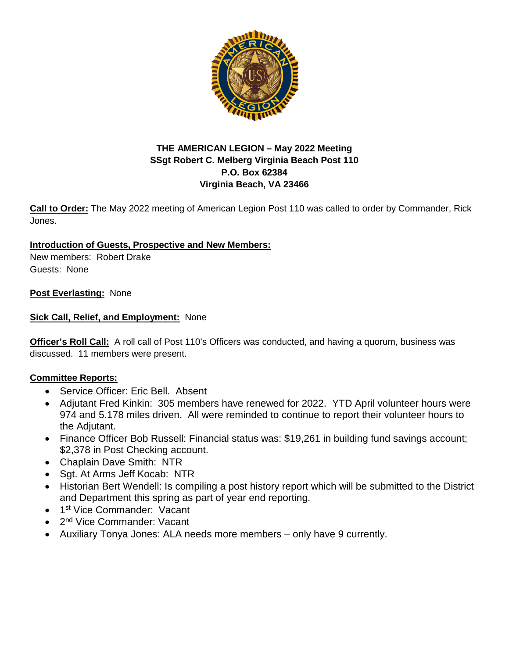

# **THE AMERICAN LEGION – May 2022 Meeting SSgt Robert C. Melberg Virginia Beach Post 110 P.O. Box 62384 Virginia Beach, VA 23466**

**Call to Order:** The May 2022 meeting of American Legion Post 110 was called to order by Commander, Rick Jones.

# **Introduction of Guests, Prospective and New Members:**

New members: Robert Drake Guests: None

# **Post Everlasting:** None

# **Sick Call, Relief, and Employment:** None

**Officer's Roll Call:** A roll call of Post 110's Officers was conducted, and having a quorum, business was discussed. 11 members were present.

## **Committee Reports:**

- Service Officer: Eric Bell. Absent
- Adjutant Fred Kinkin: 305 members have renewed for 2022. YTD April volunteer hours were 974 and 5.178 miles driven. All were reminded to continue to report their volunteer hours to the Adjutant.
- Finance Officer Bob Russell: Financial status was: \$19,261 in building fund savings account; \$2,378 in Post Checking account.
- Chaplain Dave Smith: NTR
- Sgt. At Arms Jeff Kocab: NTR
- Historian Bert Wendell: Is compiling a post history report which will be submitted to the District and Department this spring as part of year end reporting.
- 1<sup>st</sup> Vice Commander: Vacant
- 2<sup>nd</sup> Vice Commander: Vacant
- Auxiliary Tonya Jones: ALA needs more members only have 9 currently.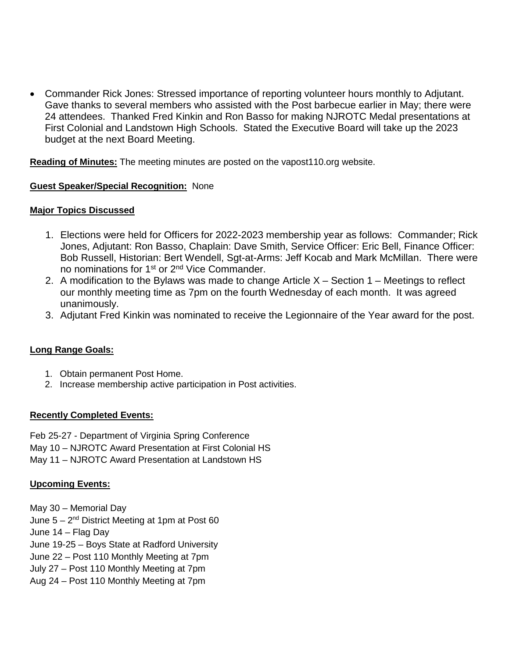• Commander Rick Jones: Stressed importance of reporting volunteer hours monthly to Adjutant. Gave thanks to several members who assisted with the Post barbecue earlier in May; there were 24 attendees. Thanked Fred Kinkin and Ron Basso for making NJROTC Medal presentations at First Colonial and Landstown High Schools. Stated the Executive Board will take up the 2023 budget at the next Board Meeting.

**Reading of Minutes:** The meeting minutes are posted on the vapost110.org website.

#### **Guest Speaker/Special Recognition:** None

#### **Major Topics Discussed**

- 1. Elections were held for Officers for 2022-2023 membership year as follows: Commander; Rick Jones, Adjutant: Ron Basso, Chaplain: Dave Smith, Service Officer: Eric Bell, Finance Officer: Bob Russell, Historian: Bert Wendell, Sgt-at-Arms: Jeff Kocab and Mark McMillan. There were no nominations for 1<sup>st</sup> or 2<sup>nd</sup> Vice Commander.
- 2. A modification to the Bylaws was made to change Article  $X -$  Section 1 Meetings to reflect our monthly meeting time as 7pm on the fourth Wednesday of each month. It was agreed unanimously.
- 3. Adjutant Fred Kinkin was nominated to receive the Legionnaire of the Year award for the post.

## **Long Range Goals:**

- 1. Obtain permanent Post Home.
- 2. Increase membership active participation in Post activities.

## **Recently Completed Events:**

Feb 25-27 - Department of Virginia Spring Conference May 10 – NJROTC Award Presentation at First Colonial HS

May 11 – NJROTC Award Presentation at Landstown HS

## **Upcoming Events:**

May 30 – Memorial Day June  $5 - 2<sup>nd</sup>$  District Meeting at 1pm at Post 60 June 14 – Flag Day June 19-25 – Boys State at Radford University June 22 – Post 110 Monthly Meeting at 7pm July 27 – Post 110 Monthly Meeting at 7pm

Aug 24 – Post 110 Monthly Meeting at 7pm